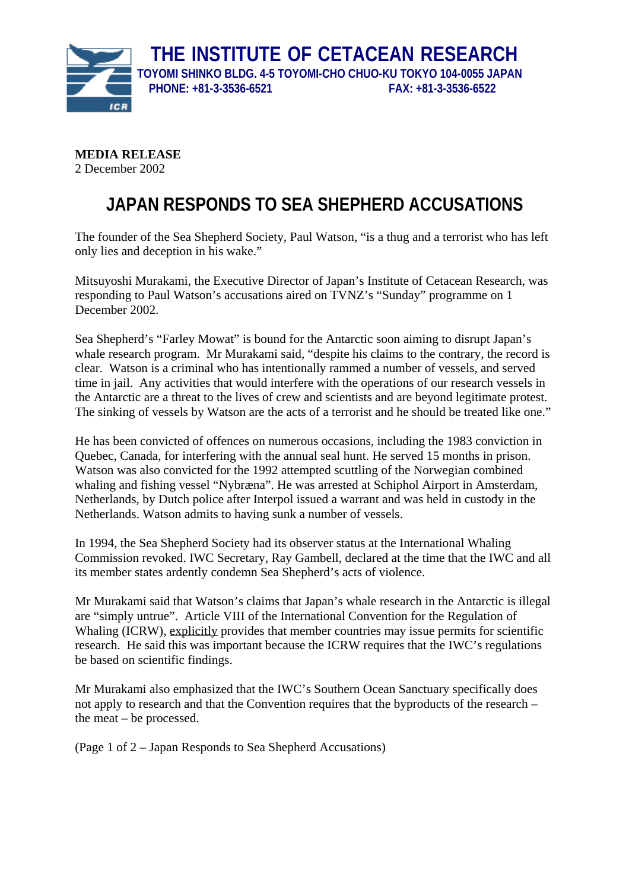

**MEDIA RELEASE**  2 December 2002

## **JAPAN RESPONDS TO SEA SHEPHERD ACCUSATIONS**

The founder of the Sea Shepherd Society, Paul Watson, "is a thug and a terrorist who has left only lies and deception in his wake."

Mitsuyoshi Murakami, the Executive Director of Japan's Institute of Cetacean Research, was responding to Paul Watson's accusations aired on TVNZ's "Sunday" programme on 1 December 2002.

Sea Shepherd's "Farley Mowat" is bound for the Antarctic soon aiming to disrupt Japan's whale research program. Mr Murakami said, "despite his claims to the contrary, the record is clear. Watson is a criminal who has intentionally rammed a number of vessels, and served time in jail. Any activities that would interfere with the operations of our research vessels in the Antarctic are a threat to the lives of crew and scientists and are beyond legitimate protest. The sinking of vessels by Watson are the acts of a terrorist and he should be treated like one."

He has been convicted of offences on numerous occasions, including the 1983 conviction in Quebec, Canada, for interfering with the annual seal hunt. He served 15 months in prison. Watson was also convicted for the 1992 attempted scuttling of the Norwegian combined whaling and fishing vessel "Nybræna". He was arrested at Schiphol Airport in Amsterdam, Netherlands, by Dutch police after Interpol issued a warrant and was held in custody in the Netherlands. Watson admits to having sunk a number of vessels.

In 1994, the Sea Shepherd Society had its observer status at the International Whaling Commission revoked. IWC Secretary, Ray Gambell, declared at the time that the IWC and all its member states ardently condemn Sea Shepherd's acts of violence.

Mr Murakami said that Watson's claims that Japan's whale research in the Antarctic is illegal are "simply untrue". Article VIII of the International Convention for the Regulation of Whaling (ICRW), explicitly provides that member countries may issue permits for scientific research. He said this was important because the ICRW requires that the IWC's regulations be based on scientific findings.

Mr Murakami also emphasized that the IWC's Southern Ocean Sanctuary specifically does not apply to research and that the Convention requires that the byproducts of the research – the meat – be processed.

(Page 1 of 2 – Japan Responds to Sea Shepherd Accusations)